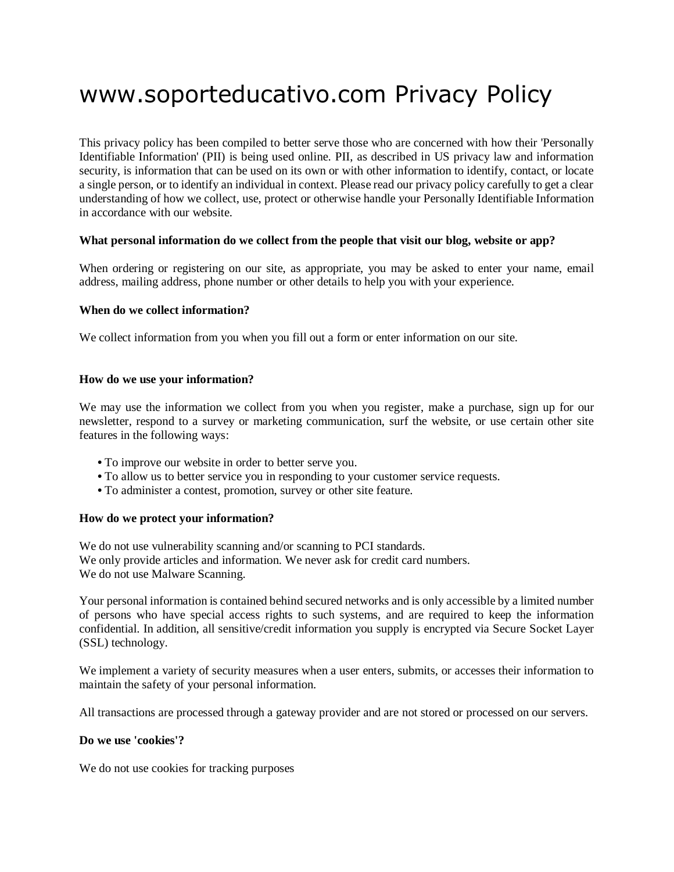# www.soporteducativo.com Privacy Policy

This privacy policy has been compiled to better serve those who are concerned with how their 'Personally Identifiable Information' (PII) is being used online. PII, as described in US privacy law and information security, is information that can be used on its own or with other information to identify, contact, or locate a single person, or to identify an individual in context. Please read our privacy policy carefully to get a clear understanding of how we collect, use, protect or otherwise handle your Personally Identifiable Information in accordance with our website.

## **What personal information do we collect from the people that visit our blog, website or app?**

When ordering or registering on our site, as appropriate, you may be asked to enter your name, email address, mailing address, phone number or other details to help you with your experience.

## **When do we collect information?**

We collect information from you when you fill out a form or enter information on our site.

## **How do we use your information?**

We may use the information we collect from you when you register, make a purchase, sign up for our newsletter, respond to a survey or marketing communication, surf the website, or use certain other site features in the following ways:

- **•** To improve our website in order to better serve you.
- **•** To allow us to better service you in responding to your customer service requests.
- **•** To administer a contest, promotion, survey or other site feature.

#### **How do we protect your information?**

We do not use vulnerability scanning and/or scanning to PCI standards. We only provide articles and information. We never ask for credit card numbers. We do not use Malware Scanning.

Your personal information is contained behind secured networks and is only accessible by a limited number of persons who have special access rights to such systems, and are required to keep the information confidential. In addition, all sensitive/credit information you supply is encrypted via Secure Socket Layer (SSL) technology.

We implement a variety of security measures when a user enters, submits, or accesses their information to maintain the safety of your personal information.

All transactions are processed through a gateway provider and are not stored or processed on our servers.

#### **Do we use 'cookies'?**

We do not use cookies for tracking purposes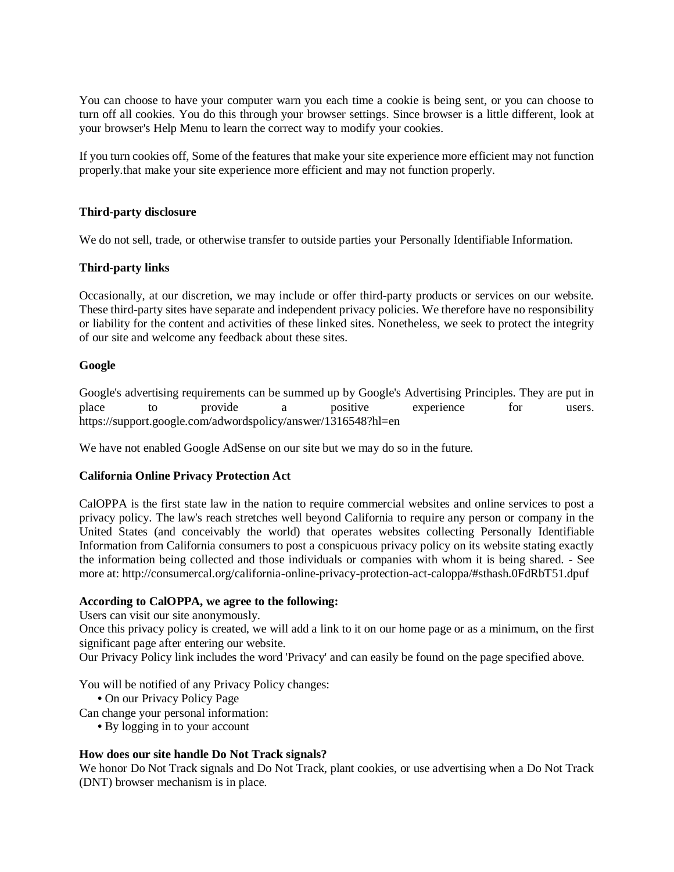You can choose to have your computer warn you each time a cookie is being sent, or you can choose to turn off all cookies. You do this through your browser settings. Since browser is a little different, look at your browser's Help Menu to learn the correct way to modify your cookies.

If you turn cookies off, Some of the features that make your site experience more efficient may not function properly.that make your site experience more efficient and may not function properly.

## **Third-party disclosure**

We do not sell, trade, or otherwise transfer to outside parties your Personally Identifiable Information.

## **Third-party links**

Occasionally, at our discretion, we may include or offer third-party products or services on our website. These third-party sites have separate and independent privacy policies. We therefore have no responsibility or liability for the content and activities of these linked sites. Nonetheless, we seek to protect the integrity of our site and welcome any feedback about these sites.

## **Google**

Google's advertising requirements can be summed up by Google's Advertising Principles. They are put in place to provide a positive experience for users. https://support.google.com/adwordspolicy/answer/1316548?hl=en

We have not enabled Google AdSense on our site but we may do so in the future.

## **California Online Privacy Protection Act**

CalOPPA is the first state law in the nation to require commercial websites and online services to post a privacy policy. The law's reach stretches well beyond California to require any person or company in the United States (and conceivably the world) that operates websites collecting Personally Identifiable Information from California consumers to post a conspicuous privacy policy on its website stating exactly the information being collected and those individuals or companies with whom it is being shared. - See more at: http://consumercal.org/california-online-privacy-protection-act-caloppa/#sthash.0FdRbT51.dpuf

#### **According to CalOPPA, we agree to the following:**

Users can visit our site anonymously.

Once this privacy policy is created, we will add a link to it on our home page or as a minimum, on the first significant page after entering our website.

Our Privacy Policy link includes the word 'Privacy' and can easily be found on the page specified above.

You will be notified of any Privacy Policy changes:

**•** On our Privacy Policy Page

Can change your personal information:

**•** By logging in to your account

## **How does our site handle Do Not Track signals?**

We honor Do Not Track signals and Do Not Track, plant cookies, or use advertising when a Do Not Track (DNT) browser mechanism is in place.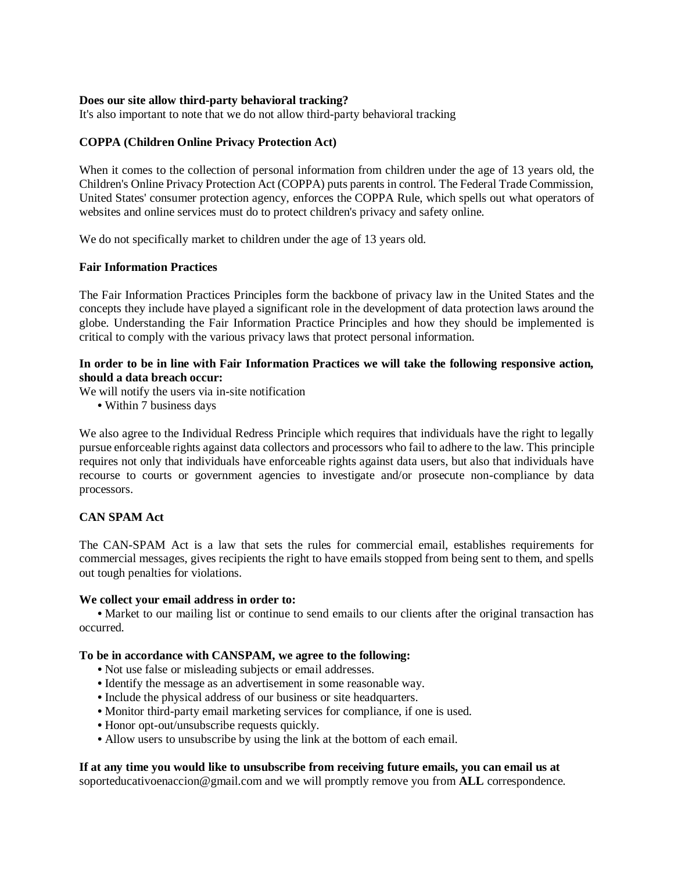## **Does our site allow third-party behavioral tracking?**

It's also important to note that we do not allow third-party behavioral tracking

## **COPPA (Children Online Privacy Protection Act)**

When it comes to the collection of personal information from children under the age of 13 years old, the Children's Online Privacy Protection Act (COPPA) puts parents in control. The Federal Trade Commission, United States' consumer protection agency, enforces the COPPA Rule, which spells out what operators of websites and online services must do to protect children's privacy and safety online.

We do not specifically market to children under the age of 13 years old.

## **Fair Information Practices**

The Fair Information Practices Principles form the backbone of privacy law in the United States and the concepts they include have played a significant role in the development of data protection laws around the globe. Understanding the Fair Information Practice Principles and how they should be implemented is critical to comply with the various privacy laws that protect personal information.

## **In order to be in line with Fair Information Practices we will take the following responsive action, should a data breach occur:**

We will notify the users via in-site notification

**•** Within 7 business days

We also agree to the Individual Redress Principle which requires that individuals have the right to legally pursue enforceable rights against data collectors and processors who fail to adhere to the law. This principle requires not only that individuals have enforceable rights against data users, but also that individuals have recourse to courts or government agencies to investigate and/or prosecute non-compliance by data processors.

## **CAN SPAM Act**

The CAN-SPAM Act is a law that sets the rules for commercial email, establishes requirements for commercial messages, gives recipients the right to have emails stopped from being sent to them, and spells out tough penalties for violations.

#### **We collect your email address in order to:**

• Market to our mailing list or continue to send emails to our clients after the original transaction has occurred.

#### **To be in accordance with CANSPAM, we agree to the following:**

- **•** Not use false or misleading subjects or email addresses.
- **•** Identify the message as an advertisement in some reasonable way.
- **•** Include the physical address of our business or site headquarters.
- **•** Monitor third-party email marketing services for compliance, if one is used.
- **•** Honor opt-out/unsubscribe requests quickly.
- **•** Allow users to unsubscribe by using the link at the bottom of each email.

#### **If at any time you would like to unsubscribe from receiving future emails, you can email us at**

soporteducativoenaccion@gmail.com and we will promptly remove you from **ALL** correspondence.